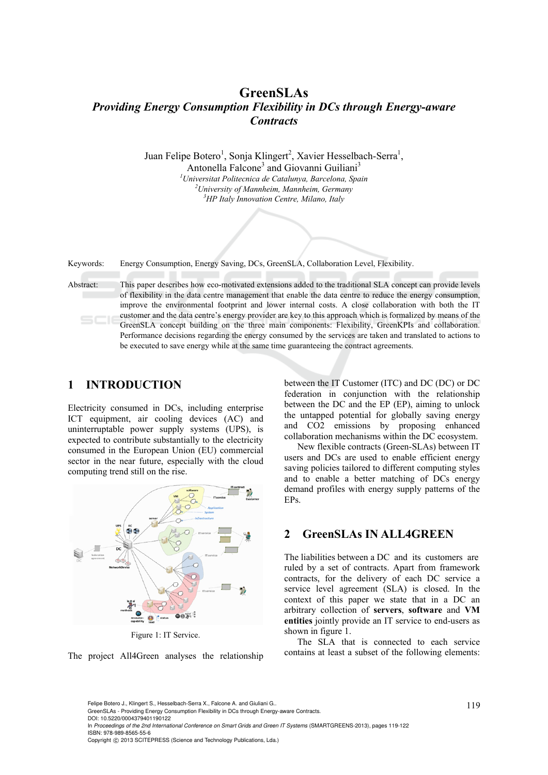## **GreenSLAs**  *Providing Energy Consumption Flexibility in DCs through Energy-aware Contracts*

Juan Felipe Botero<sup>1</sup>, Sonja Klingert<sup>2</sup>, Xavier Hesselbach-Serra<sup>1</sup>,

Antonella Falcone<sup>3</sup> and Giovanni Guiliani<sup>3</sup> *1 Universitat Politecnica de Catalunya, Barcelona, Spain 2 University of Mannheim, Mannheim, Germany 3 HP Italy Innovation Centre, Milano, Italy* 

Keywords: Energy Consumption, Energy Saving, DCs, GreenSLA, Collaboration Level, Flexibility.

Abstract: This paper describes how eco-motivated extensions added to the traditional SLA concept can provide levels of flexibility in the data centre management that enable the data centre to reduce the energy consumption, improve the environmental footprint and lower internal costs. A close collaboration with both the IT customer and the data centre's energy provider are key to this approach which is formalized by means of the GreenSLA concept building on the three main components: Flexibility, GreenKPIs and collaboration. Performance decisions regarding the energy consumed by the services are taken and translated to actions to be executed to save energy while at the same time guaranteeing the contract agreements.

## **1 INTRODUCTION**

Electricity consumed in DCs, including enterprise ICT equipment, air cooling devices (AC) and uninterruptable power supply systems (UPS), is expected to contribute substantially to the electricity consumed in the European Union (EU) commercial sector in the near future, especially with the cloud computing trend still on the rise.



Figure 1: IT Service.



between the IT Customer (ITC) and DC (DC) or DC federation in conjunction with the relationship between the DC and the EP (EP), aiming to unlock the untapped potential for globally saving energy and CO2 emissions by proposing enhanced collaboration mechanisms within the DC ecosystem.

New flexible contracts (Green-SLAs) between IT users and DCs are used to enable efficient energy saving policies tailored to different computing styles and to enable a better matching of DCs energy demand profiles with energy supply patterns of the EPs.

#### **2 GreenSLAs IN ALL4GREEN**

The liabilities between a DC and its customers are ruled by a set of contracts. Apart from framework contracts, for the delivery of each DC service a service level agreement (SLA) is closed. In the context of this paper we state that in a DC an arbitrary collection of **servers**, **software** and **VM entities** jointly provide an IT service to end-users as shown in figure 1.

The SLA that is connected to each service contains at least a subset of the following elements:

DOI: 10.5220/0004379401190122

In *Proceedings of the 2nd International Conference on Smart Grids and Green IT Systems* (SMARTGREENS-2013), pages 119-122 ISBN: 978-989-8565-55-6

<sup>119</sup> Felipe Botero J., Klingert S., Hesselbach-Serra X., Falcone A. and Giuliani G.. GreenSLAs - Providing Energy Consumption Flexibility in DCs through Energy-aware Contracts.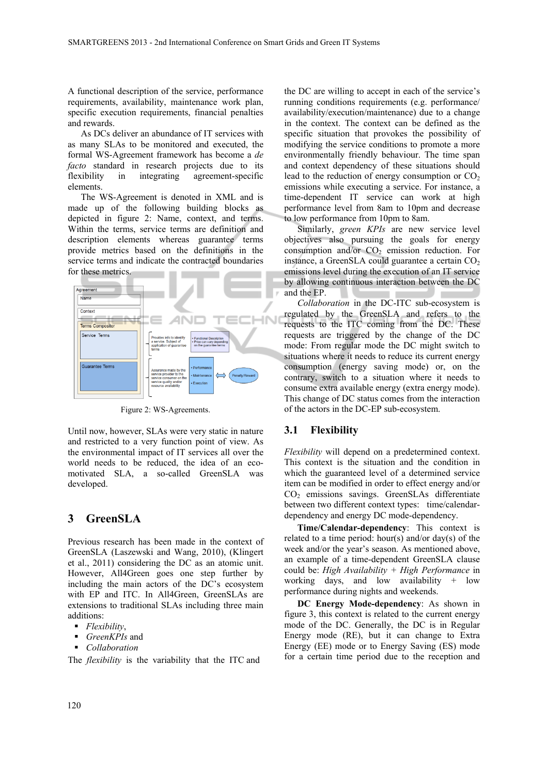A functional description of the service, performance requirements, availability, maintenance work plan, specific execution requirements, financial penalties and rewards.

As DCs deliver an abundance of IT services with as many SLAs to be monitored and executed, the formal WS-Agreement framework has become a *de facto* standard in research projects due to its flexibility in integrating agreement-specific elements.

The WS-Agreement is denoted in XML and is made up of the following building blocks as depicted in figure 2: Name, context, and terms. Within the terms, service terms are definition and description elements whereas guarantee terms provide metrics based on the definitions in the service terms and indicate the contracted boundaries for these metrics.



Figure 2: WS-Agreements.

Until now, however, SLAs were very static in nature and restricted to a very function point of view. As the environmental impact of IT services all over the world needs to be reduced, the idea of an ecomotivated SLA, a so-called GreenSLA was developed.

## **3 GreenSLA**

Previous research has been made in the context of GreenSLA (Laszewski and Wang, 2010), (Klingert et al., 2011) considering the DC as an atomic unit. However, All4Green goes one step further by including the main actors of the DC's ecosystem with EP and ITC. In All4Green, GreenSLAs are extensions to traditional SLAs including three main additions:

- *Flexibility*,
- *GreenKPIs* and
- *Collaboration*

The *flexibility* is the variability that the ITC and

the DC are willing to accept in each of the service's running conditions requirements (e.g. performance/ availability/execution/maintenance) due to a change in the context. The context can be defined as the specific situation that provokes the possibility of modifying the service conditions to promote a more environmentally friendly behaviour. The time span and context dependency of these situations should lead to the reduction of energy consumption or  $CO<sub>2</sub>$ emissions while executing a service. For instance, a time-dependent IT service can work at high performance level from 8am to 10pm and decrease to low performance from 10pm to 8am.

Similarly, *green KPIs* are new service level objectives also pursuing the goals for energy consumption and/or  $CO<sub>2</sub>$  emission reduction. For instance, a GreenSLA could guarantee a certain  $CO<sub>2</sub>$ emissions level during the execution of an IT service by allowing continuous interaction between the DC and the EP.

*Collaboration* in the DC-ITC sub-ecosystem is regulated by the GreenSLA and refers to the requests to the ITC coming from the DC. These requests are triggered by the change of the DC mode: From regular mode the DC might switch to situations where it needs to reduce its current energy consumption (energy saving mode) or, on the contrary, switch to a situation where it needs to consume extra available energy (extra energy mode). This change of DC status comes from the interaction of the actors in the DC-EP sub-ecosystem.

#### **3.1 Flexibility**

*Flexibility* will depend on a predetermined context. This context is the situation and the condition in which the guaranteed level of a determined service item can be modified in order to effect energy and/or CO2 emissions savings. GreenSLAs differentiate between two different context types: time/calendardependency and energy DC mode-dependency.

**Time/Calendar-dependency**: This context is related to a time period: hour(s) and/or day(s) of the week and/or the year's season. As mentioned above, an example of a time-dependent GreenSLA clause could be: *High Availability + High Performance* in working days, and low availability  $+$  low performance during nights and weekends.

**DC Energy Mode-dependency**: As shown in figure 3, this context is related to the current energy mode of the DC. Generally, the DC is in Regular Energy mode (RE), but it can change to Extra Energy (EE) mode or to Energy Saving (ES) mode for a certain time period due to the reception and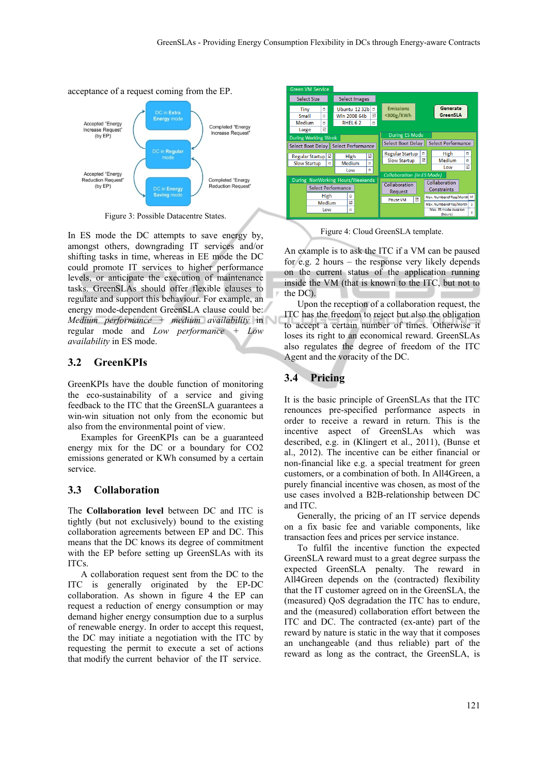acceptance of a request coming from the EP.



Figure 3: Possible Datacentre States.

In ES mode the DC attempts to save energy by, amongst others, downgrading IT services and/or shifting tasks in time, whereas in EE mode the DC could promote IT services to higher performance levels, or anticipate the execution of maintenance tasks. GreenSLAs should offer flexible clauses to regulate and support this behaviour. For example, an energy mode-dependent GreenSLA clause could be: *Medium performance + medium availability* in regular mode and *Low performance + Low availability* in ES mode.

#### **3.2 GreenKPIs**

GreenKPIs have the double function of monitoring the eco-sustainability of a service and giving feedback to the ITC that the GreenSLA guarantees a win-win situation not only from the economic but also from the environmental point of view.

Examples for GreenKPIs can be a guaranteed energy mix for the DC or a boundary for CO2 emissions generated or KWh consumed by a certain service.

#### **3.3 Collaboration**

The **Collaboration level** between DC and ITC is tightly (but not exclusively) bound to the existing collaboration agreements between EP and DC. This means that the DC knows its degree of commitment with the EP before setting up GreenSLAs with its ITCs.

A collaboration request sent from the DC to the ITC is generally originated by the EP-DC collaboration. As shown in figure 4 the EP can request a reduction of energy consumption or may demand higher energy consumption due to a surplus of renewable energy. In order to accept this request, the DC may initiate a negotiation with the ITC by requesting the permit to execute a set of actions that modify the current behavior of the IT service.



Figure 4: Cloud GreenSLA template.

An example is to ask the ITC if a VM can be paused for e.g. 2 hours – the response very likely depends on the current status of the application running inside the VM (that is known to the ITC, but not to the DC).

Upon the reception of a collaboration request, the ITC has the freedom to reject but also the obligation to accept a certain number of times. Otherwise it loses its right to an economical reward. GreenSLAs also regulates the degree of freedom of the ITC Agent and the voracity of the DC.

### **3.4 Pricing**

It is the basic principle of GreenSLAs that the ITC renounces pre-specified performance aspects in order to receive a reward in return. This is the incentive aspect of GreenSLAs which was described, e.g. in (Klingert et al., 2011), (Bunse et al., 2012). The incentive can be either financial or non-financial like e.g. a special treatment for green customers, or a combination of both. In All4Green, a purely financial incentive was chosen, as most of the use cases involved a B2B-relationship between DC and ITC.

Generally, the pricing of an IT service depends on a fix basic fee and variable components, like transaction fees and prices per service instance.

To fulfil the incentive function the expected GreenSLA reward must to a great degree surpass the expected GreenSLA penalty. The reward in All4Green depends on the (contracted) flexibility that the IT customer agreed on in the GreenSLA, the (measured) QoS degradation the ITC has to endure, and the (measured) collaboration effort between the ITC and DC. The contracted (ex-ante) part of the reward by nature is static in the way that it composes an unchangeable (and thus reliable) part of the reward as long as the contract, the GreenSLA, is